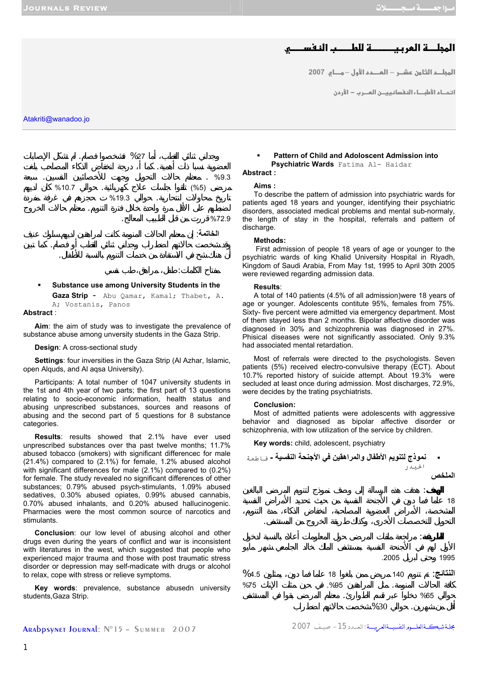# **אאhn\_א 1**

<mark>المجلـــم الثـا من عشــر — العــــمم الأول — مــــا ي 2007</mark>

<mark>ا</mark> تحـاد الأطبــاء النفسا نييــن المــرب − الأردن

Atakriti@wanadoo.jo



**Substance use among University Students in the** 

**Gaza Strip** - Abu Qamar, Kamal; Thabet, A. A; Vostanis, Panos

# **Abstract** :

**Aim**: the aim of study was to investigate the prevalence of substance abuse among unversity students in the Gaza Strip.

## **Design**: A cross-sectional study

**Settings**: four inversities in the Gaza Strip (Al Azhar, Islamic, open Alquds, and Al aqsa University).

Participants: A total number of 1047 university students in the 1st and 4th year of two parts; the first part of 13 questions relating to socio-economic information, health status and abusing unprescribed substances, sources and reasons of abusing and the second part of 5 questions for 8 substance categories.

**Results**: results showed that 2.1% have ever used unprescribed substances over tha past twelve months; 11.7% abused tobacco (smokers) with significant differencec for male (21.4%) compared to (2.1%) for female, 1.2% abused alcohol with significant differences for male (2.1%) compared to (0.2%) for female. The study revealed no significant differences of other substances; 0.79% abused psych-stimulants, 1.09% abused sedatives, 0.30% abused opiates, 0.99% abused cannabis, 0.70% abused inhalants, and 0.20% abused hallucinogenic. Pharmacies were the most common source of narcotics and stimulants.

**Conclusion**: our low level of abusing alcohol and other drugs even during the years of conflict and war is inconsistent with literatures in the west, which suggested that people who experienced major trauma and those with post traumatic stress disorder or depression may self-madicate with drugs or alcohol to relax, cope with stress or relieve symptoms.

**Key words**: prevalence, substance abusedn university students, Gaza Strip.

## **Pattern of Child and Adoloscent Admission into Psychiatric Wards** Fatima Al- Haidar **Abstract :**

# **Aims :**

To describe the pattern of admission into psychiatric wards for patients aged 18 years and younger, identifying their psychiatric disorders, associated medical problems and mental sub-normaly, the length of stay in the hospital, referrals and pattern of discharge.

# **Methods:**

 First admission of people 18 years of age or younger to the psychiatric wards of king Khalid University Hospital in Riyadh, Kingdom of Saudi Arabia, From May 1st, 1995 to April 30th 2005 were reviewed regarding admission data.

## **Results**:

A total of 140 patients (4.5% of all admission)were 18 years of age or younger. Adolescents contitute 95%, females from 75%. Sixty- five percent were admitted via emergency department. Most of them stayed less than 2 months. Bipolar affective disorder was diagnosed in 30% and schizophrenia was diagnosed in 27%. Phisical diseases were not significantly associated. Only 9.3% had associated mental retardation.

Most of referrals were directed to the psychologists. Seven patients (5%) received electro-convulsive therapy (ECT). About 10.7% reported history of suicide attempt. About 19.3% were secluded at least once during admission. Most discharges, 72.9%. were decides by the trating psychiatrists.

### **Conclusion:**

Most of admitted patients were adolescents with aggressive behavior and diagnosed as bipolar affective disorder or schizophrenia, with low utilization of the service by children.

**Key words:** child, adolescent, psychiatry



Arabpsynet Journal: N°15 – Summer 2007 2007 صيـــف -15الـعــــدد: مجلــةشبكـــةالعلــــــومالنفسيــــةالعربيـــــة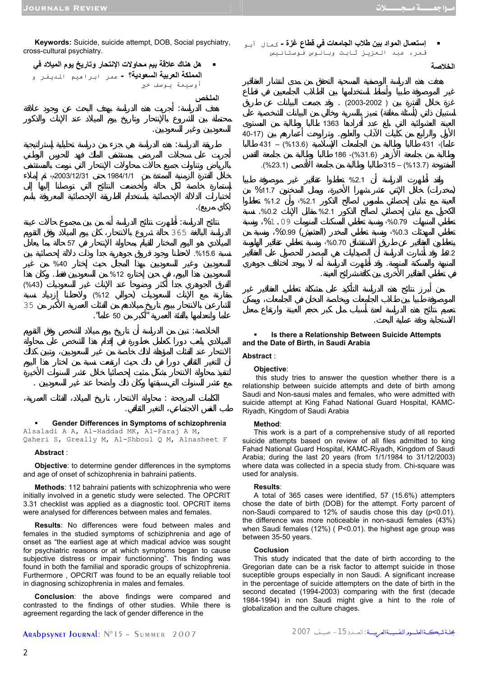**Keywords:** Suicide, suicide attempt, DOB, Social psychiatry, cross-cultural psychiatry.



 **Gender Differences in Symptoms of schizophrenia**  Alsaladi A A, Al-Haddad MK, Al-Faraj A M, Qaheri S, Greally M, Al-Shboul Q M, Alnasheet F

طب النفس الاجتماعي، التغير الثقافي.

#### **Abstract** :

**Objective**: to determine gender differences in the symptoms and age of onset of schizophrenia in bahraini patients.

**Methods**: 112 bahraini patients with schizophrenia who were initially involved in a genetic study were selected. The OPCRIT 3.31 checklist was applied as a diagnostic tool. OPCRIT items were analysed for differences between males and females.

**Results**: No differences were foud between males and females in the studied symptoms of schiziphrenia and age of onset as "the earliest age at which madical advice was sought for psychiatric reasons or at which symptoms began to cause subjective distress or impair functionning". This finding was found in both the familial and sporadic groups of schizophrenia. Furthermore , OPCRIT was found to be an equally reliable tool in diagnosing schizophrenia in males and females.

**Conclusion**: the above findings were compared and contrasted to the findings of other studies. While there is agreement regarding the lack of gender difference in the



 $\sim 0.2$ المنبهة والمسكنة المنومة. قد أظهرت الدراسة أنه يوجد اختلاف جوهري

## **Is there a Relationship Between Suicide Attempts and the Date of Birth, in Saudi Arabia**

 $\%0.99$  ()  $\%0.3$  $\cdot\%$ 0.70  $\cdot\%$ 

في تعاطي العقاقير الأخرى بين كافة شرائح العينة.

الاستجابة ودقة عملية البحث.

# **Abstract** :

## **Objective**:

 this study tries to answer the question whether there is a relationship between suicide attempts and dete of birth among Saudi and Non-sausi males and females, who were admitted with suicide attempt at King Fahad National Guard Hospital, KAMC-Riyadh, Kingdom of Saudi Arabia

#### **Method**:

This work is a part of a comprehensive study of all reported suicide attempts based on review of all files admitted to king Fahad National Guard Hospital, KAMC-Riyadh, Kingdom of Saudi Arabia; during the last 20 years (from 1/1/1984 to 31/12/2003) where data was collected in a specia study from. Chi-square was used for analysis.

### **Results**:

A total of 365 cases were identified, 57 (15.6%) attempters chose the date of birth (DOB) for the attempt. Forty parcent of non-Saudi compared to 12% of saudis chose this day (p<0.01). the difference was more noticeable in non-saudi females (43%) when Saudi females (12%) ( P<0.01). the highest age group was between 35-50 years.

## **Coclusion**

This study indicated that the date of birth according to the Gregorian date can be a risk factor to attempt suicide in those suceptible groups especially in non Saudi. A significant increase in the percentage of suicide attempters on the date of birth in the second decated (1994-2003) comparing with the first (decade 1984-1994) in non Saudi might give a hint to the role of globalization and the culture chages.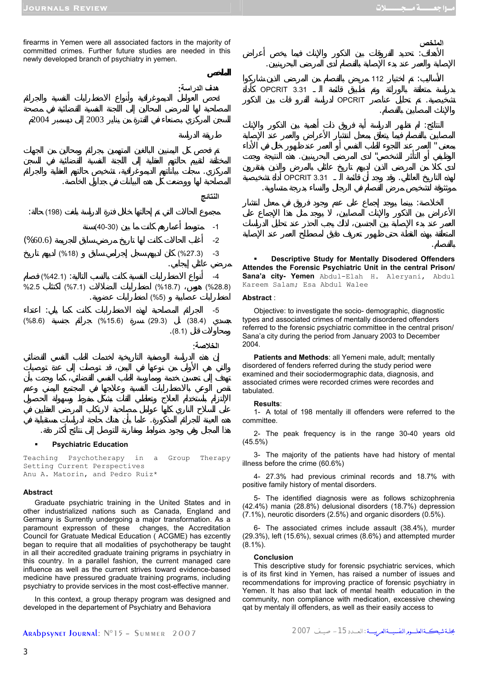والإنا المصابين بالفصام.

**الملخص**

بالفصام.

firearms in Yemen were all associated factors in the majority of committed crimes. Further future studies are needed in this newly developed branch of psychiatry in yemen.



**Psychiatric Education** 

Teaching Psychotherapy in a Group Therapy Setting Current Perspectives Anu A. Matorin, and Pedro Ruiz\*

هده العينة للجرائم المذكورة. علما بأن هناك حاجة لدراسات مستقبلية في

# **Abstract**

Graduate psychiatric training in the United States and in other industrialized nations such as Canada, England and Germany is Surrently undergoing a major transformation. As a paramount expresson of these changes, the Accreditation Council for Gratuate Medical Education ( ACGME) has ezcently began to require that all modalities of psychotherapy be taught in all their accredited graduate training prigrams in psychiatry in this country. In a parallel fashion, the current managed care influence as well as the current strives toward evidence-based medicine have pressured graduate training programs, including psychiatry to provide services in the most cost-effective manner.

In this context, a group therapy program was designed and developed in the departement of Psychiatry and Behaviora



5- The identified diagnosis were as follows schizophrenia (42.4%) mania (28.8%) delusional disorders (18.7%) depression (7.1%), neurotic disorders (2.5%) and organic disorders (0.5%).

6- The associated crimes include assault (38.4%), murder (29.3%), left (15.6%), sexual crimes (8.6%) and attempted murder  $(8.1\%)$ .

#### **Conclusion**

This descriptive study for forensic psychiatric services, which is of its first kind in Yemen, has raised a number of issues and recommendations for improving practice of forensic psychiatry in Yemen. It has also that lack of mental health education in the community, non compliance with medication, excessive chewing qat by mentaly ill offenders, as well as their easily access to

 **Descriptive Study for Mentally Disodered Offenders Attendes the Forensic Psychiatric Unit in the central Prison/ Sana'a city- Yemen** Abdul-Elah H. Aleryani, Abdul Kareem Salam; Esa Abdul Walee

الأهداف: تحديد الفروقات بين الذكور والإناث فيما يخ أعراض

 $\overline{112}$  and  $\overline{112}$  and  $\overline{112}$  and  $\overline{112}$  and  $\overline{112}$  and  $\overline{112}$  and  $\overline{112}$  and  $\overline{112}$  and  $\overline{112}$  and  $\overline{112}$  and  $\overline{112}$  and  $\overline{112}$  and  $\overline{112}$  and  $\overline{112}$  and  $\overline{112}$ 

النتائج: لم تظهر الدراسة أية فروق ذات مية بين الذكور والإناث

الخلاصة: بينما يوجد إجماع على عدم جود فروق في معدل انتشار

تشخيصية. تم تحليل عناصر OPCRIT لدراسة الفرو قا بين الذكور

بمعنى " العمر عند اللجوء للطب النفسي أو العمر عند ظهور خلل في الأداء الوظيفي أو التأثر الشخصي" لدى المرضى البحرينيين. ذه النتيجة وجدت

موثثوقة لتشخيص مرض الفصام في الرجال والنساء بدرجة متساوية.

OPCRIT 3.31

**OPCRIT 3.31** 

الإصابة والعمر عند بدء الإصابة بالفصام لدى المرضى البحرينيين.

# **Abstract** :

Objective: to investigate the socio- demographic, diagnostic types and associated crimes of mentally disordered offenders referred to the forensic psychiatric committee in the central prison/ Sana'a city during the period from January 2003 to December 2004.

**Patients and Methods**: all Yemeni male, adult; mentally disordered of fenders referred during the study period were examined and their sociodermographic data, diagnosis, and associated crimes were recorded crimes were recordes and tabulated.

## **Results**:

1- A total of 198 mentally ill offenders were referred to the committee.

2- The peak frequency is in the range 30-40 years old

3- The majority of the patients have had history of mental illness before the crime (60.6%)

4- 27.3% had previous criminal records and 18.7% with positive family history of mental disorders.